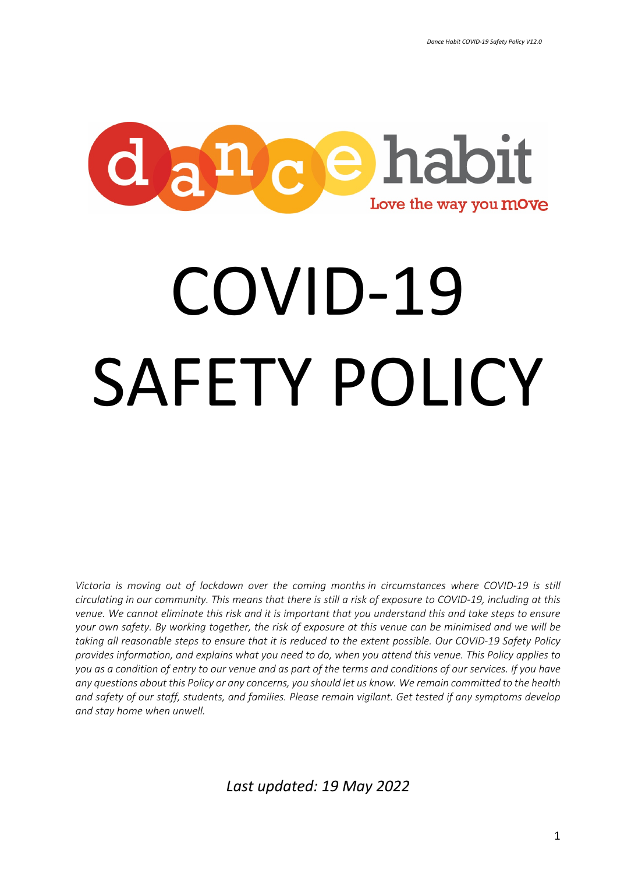

# COVID-19 SAFETY POLICY

*Victoria is moving out of lockdown over the coming months in circumstances where COVID-19 is still circulating in our community. This means that there is still a risk of exposure to COVID-19, including at this venue. We cannot eliminate this risk and it is important that you understand this and take steps to ensure your own safety. By working together, the risk of exposure at this venue can be minimised and we will be taking all reasonable steps to ensure that it is reduced to the extent possible. Our COVID-19 Safety Policy provides information, and explains what you need to do, when you attend this venue. This Policy applies to you as a condition of entry to our venue and as part of the terms and conditions of our services. If you have any questions about this Policy or any concerns, you should let us know. We remain committed to the health and safety of our staff, students, and families. Please remain vigilant. Get tested if any symptoms develop and stay home when unwell.*

*Last updated: 19 May 2022*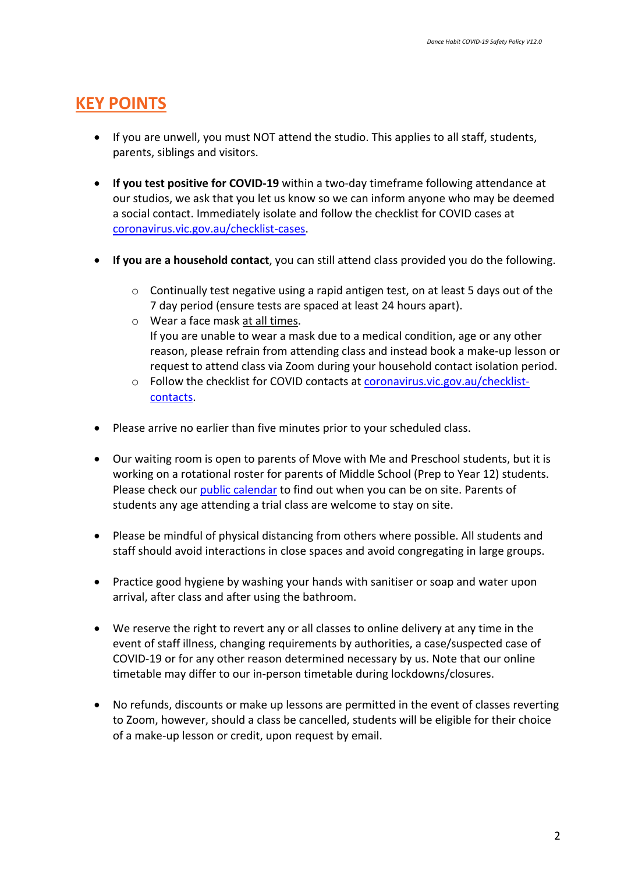## **KEY POINTS**

- If you are unwell, you must NOT attend the studio. This applies to all staff, students, parents, siblings and visitors.
- **If you test positive for COVID-19** within a two-day timeframe following attendance at our studios, we ask that you let us know so we can inform anyone who may be deemed a social contact. Immediately isolate and follow the checklist for COVID cases at coronavirus.vic.gov.au/checklist-cases.
- **If you are a household contact**, you can still attend class provided you do the following.
	- $\circ$  Continually test negative using a rapid antigen test, on at least 5 days out of the 7 day period (ensure tests are spaced at least 24 hours apart).
	- o Wear a face mask at all times. If you are unable to wear a mask due to a medical condition, age or any other reason, please refrain from attending class and instead book a make-up lesson or request to attend class via Zoom during your household contact isolation period.
	- o Follow the checklist for COVID contacts at coronavirus.vic.gov.au/checklistcontacts.
- Please arrive no earlier than five minutes prior to your scheduled class.
- Our waiting room is open to parents of Move with Me and Preschool students, but it is working on a rotational roster for parents of Middle School (Prep to Year 12) students. Please check our public calendar to find out when you can be on site. Parents of students any age attending a trial class are welcome to stay on site.
- Please be mindful of physical distancing from others where possible. All students and staff should avoid interactions in close spaces and avoid congregating in large groups.
- Practice good hygiene by washing your hands with sanitiser or soap and water upon arrival, after class and after using the bathroom.
- We reserve the right to revert any or all classes to online delivery at any time in the event of staff illness, changing requirements by authorities, a case/suspected case of COVID-19 or for any other reason determined necessary by us. Note that our online timetable may differ to our in-person timetable during lockdowns/closures.
- No refunds, discounts or make up lessons are permitted in the event of classes reverting to Zoom, however, should a class be cancelled, students will be eligible for their choice of a make-up lesson or credit, upon request by email.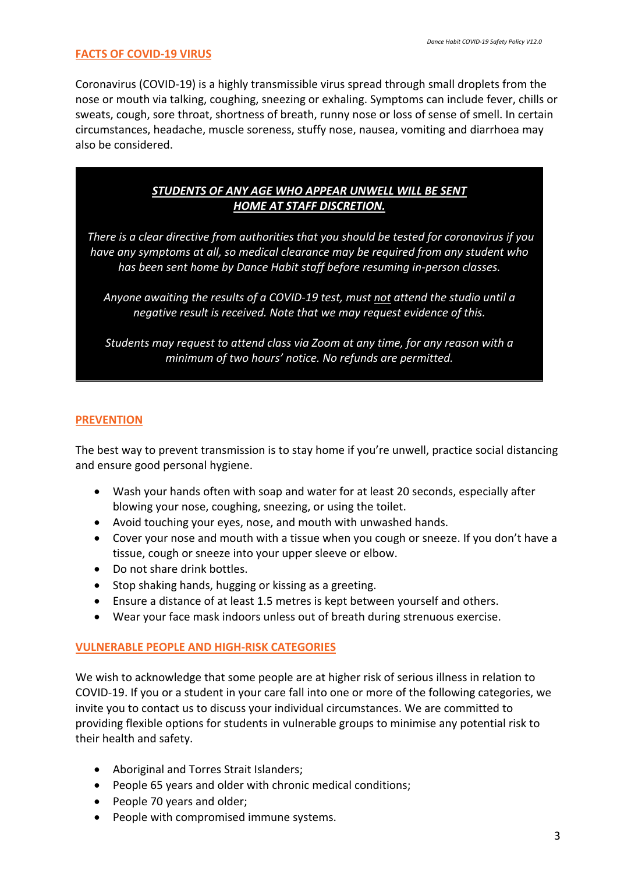## **FACTS OF COVID-19 VIRUS**

Coronavirus (COVID-19) is a highly transmissible virus spread through small droplets from the nose or mouth via talking, coughing, sneezing or exhaling. Symptoms can include fever, chills or sweats, cough, sore throat, shortness of breath, runny nose or loss of sense of smell. In certain circumstances, headache, muscle soreness, stuffy nose, nausea, vomiting and diarrhoea may also be considered.

## *STUDENTS OF ANY AGE WHO APPEAR UNWELL WILL BE SENT HOME AT STAFF DISCRETION.*

*There is a clear directive from authorities that you should be tested for coronavirus if you have any symptoms at all, so medical clearance may be required from any student who has been sent home by Dance Habit staff before resuming in-person classes.* 

*Anyone awaiting the results of a COVID-19 test, must not attend the studio until a negative result is received. Note that we may request evidence of this.*

*Students may request to attend class via Zoom at any time, for any reason with a minimum of two hours' notice. No refunds are permitted.*

## **PREVENTION**

The best way to prevent transmission is to stay home if you're unwell, practice social distancing and ensure good personal hygiene.

- Wash your hands often with soap and water for at least 20 seconds, especially after blowing your nose, coughing, sneezing, or using the toilet.
- Avoid touching your eyes, nose, and mouth with unwashed hands.
- Cover your nose and mouth with a tissue when you cough or sneeze. If you don't have a tissue, cough or sneeze into your upper sleeve or elbow.
- Do not share drink bottles.
- Stop shaking hands, hugging or kissing as a greeting.
- Ensure a distance of at least 1.5 metres is kept between yourself and others.
- Wear your face mask indoors unless out of breath during strenuous exercise.

## **VULNERABLE PEOPLE AND HIGH-RISK CATEGORIES**

We wish to acknowledge that some people are at higher risk of serious illness in relation to COVID-19. If you or a student in your care fall into one or more of the following categories, we invite you to contact us to discuss your individual circumstances. We are committed to providing flexible options for students in vulnerable groups to minimise any potential risk to their health and safety.

- Aboriginal and Torres Strait Islanders;
- People 65 years and older with chronic medical conditions;
- People 70 years and older;
- People with compromised immune systems.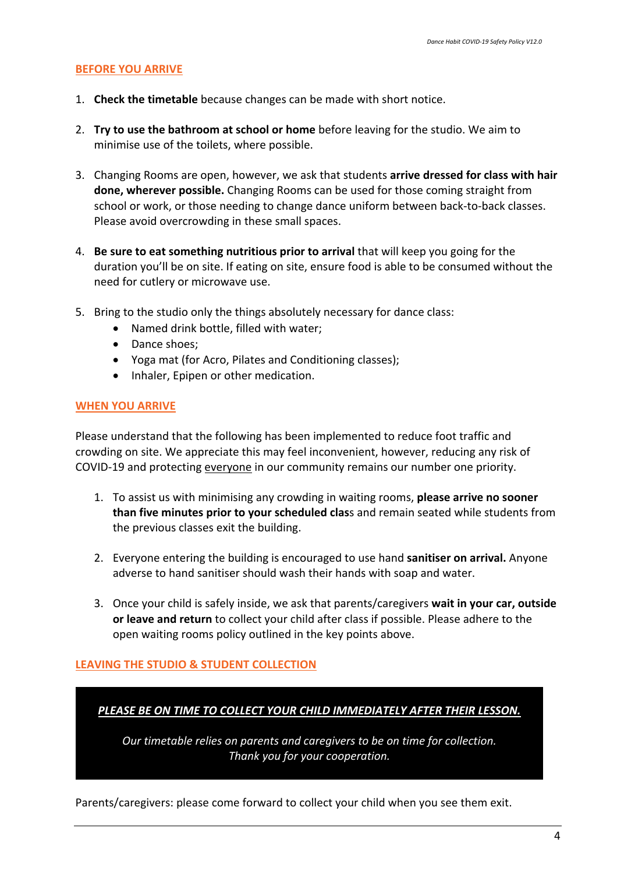## **BEFORE YOU ARRIVE**

- 1. **Check the timetable** because changes can be made with short notice.
- 2. **Try to use the bathroom at school or home** before leaving for the studio. We aim to minimise use of the toilets, where possible.
- 3. Changing Rooms are open, however, we ask that students **arrive dressed for class with hair done, wherever possible.** Changing Rooms can be used for those coming straight from school or work, or those needing to change dance uniform between back-to-back classes. Please avoid overcrowding in these small spaces.
- 4. **Be sure to eat something nutritious prior to arrival** that will keep you going for the duration you'll be on site. If eating on site, ensure food is able to be consumed without the need for cutlery or microwave use.
- 5. Bring to the studio only the things absolutely necessary for dance class:
	- Named drink bottle, filled with water;
	- Dance shoes;
	- Yoga mat (for Acro, Pilates and Conditioning classes);
	- Inhaler, Epipen or other medication.

#### **WHEN YOU ARRIVE**

Please understand that the following has been implemented to reduce foot traffic and crowding on site. We appreciate this may feel inconvenient, however, reducing any risk of COVID-19 and protecting everyone in our community remains our number one priority.

- 1. To assist us with minimising any crowding in waiting rooms, **please arrive no sooner than five minutes prior to your scheduled clas**s and remain seated while students from the previous classes exit the building.
- 2. Everyone entering the building is encouraged to use hand **sanitiser on arrival.** Anyone adverse to hand sanitiser should wash their hands with soap and water.
- 3. Once your child is safely inside, we ask that parents/caregivers **wait in your car, outside or leave and return** to collect your child after class if possible. Please adhere to the open waiting rooms policy outlined in the key points above.

## **LEAVING THE STUDIO & STUDENT COLLECTION**

| PLEASE BE ON TIME TO COLLECT YOUR CHILD IMMEDIATELY AFTER THEIR LESSON.                                         |
|-----------------------------------------------------------------------------------------------------------------|
| Our timetable relies on parents and caregivers to be on time for collection.<br>Thank you for your cooperation. |
|                                                                                                                 |

Parents/caregivers: please come forward to collect your child when you see them exit.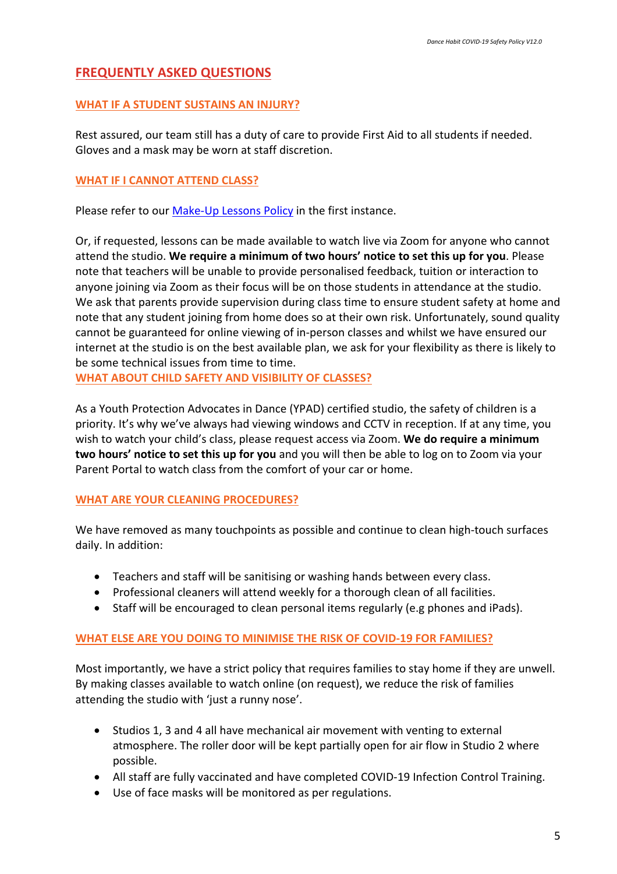## **FREQUENTLY ASKED QUESTIONS**

## **WHAT IF A STUDENT SUSTAINS AN INJURY?**

Rest assured, our team still has a duty of care to provide First Aid to all students if needed. Gloves and a mask may be worn at staff discretion.

## **WHAT IF I CANNOT ATTEND CLASS?**

Please refer to our Make-Up Lessons Policy in the first instance.

Or, if requested, lessons can be made available to watch live via Zoom for anyone who cannot attend the studio. **We require a minimum of two hours' notice to set this up for you**. Please note that teachers will be unable to provide personalised feedback, tuition or interaction to anyone joining via Zoom as their focus will be on those students in attendance at the studio. We ask that parents provide supervision during class time to ensure student safety at home and note that any student joining from home does so at their own risk. Unfortunately, sound quality cannot be guaranteed for online viewing of in-person classes and whilst we have ensured our internet at the studio is on the best available plan, we ask for your flexibility as there is likely to be some technical issues from time to time.

**WHAT ABOUT CHILD SAFETY AND VISIBILITY OF CLASSES?**

As a Youth Protection Advocates in Dance (YPAD) certified studio, the safety of children is a priority. It's why we've always had viewing windows and CCTV in reception. If at any time, you wish to watch your child's class, please request access via Zoom. **We do require a minimum two hours' notice to set this up for you** and you will then be able to log on to Zoom via your Parent Portal to watch class from the comfort of your car or home.

## **WHAT ARE YOUR CLEANING PROCEDURES?**

We have removed as many touchpoints as possible and continue to clean high-touch surfaces daily. In addition:

- Teachers and staff will be sanitising or washing hands between every class.
- Professional cleaners will attend weekly for a thorough clean of all facilities.
- Staff will be encouraged to clean personal items regularly (e.g phones and iPads).

## **WHAT ELSE ARE YOU DOING TO MINIMISE THE RISK OF COVID-19 FOR FAMILIES?**

Most importantly, we have a strict policy that requires families to stay home if they are unwell. By making classes available to watch online (on request), we reduce the risk of families attending the studio with 'just a runny nose'.

- Studios 1, 3 and 4 all have mechanical air movement with venting to external atmosphere. The roller door will be kept partially open for air flow in Studio 2 where possible.
- All staff are fully vaccinated and have completed COVID-19 Infection Control Training.
- Use of face masks will be monitored as per regulations.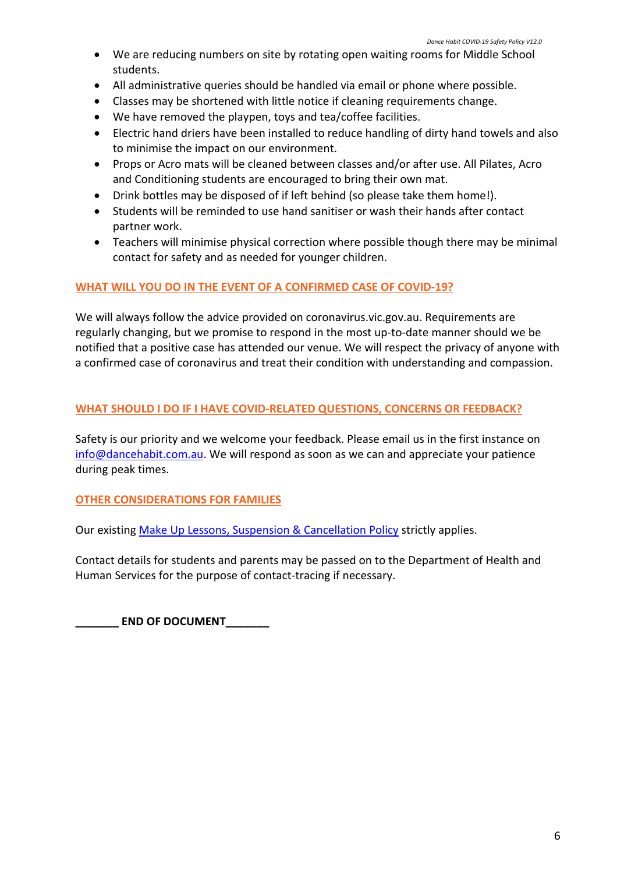- We are reducing numbers on site by rotating open waiting rooms for Middle School students.
- All administrative queries should be handled via email or phone where possible.
- Classes may be shortened with little notice if cleaning requirements change.
- We have removed the playpen, toys and tea/coffee facilities.
- Electric hand driers have been installed to reduce handling of dirty hand towels and also to minimise the impact on our environment.
- Props or Acro mats will be cleaned between classes and/or after use. All Pilates, Acro and Conditioning students are encouraged to bring their own mat.
- Drink bottles may be disposed of if left behind (so please take them home!).
- Students will be reminded to use hand sanitiser or wash their hands after contact partner work.
- Teachers will minimise physical correction where possible though there may be minimal contact for safety and as needed for younger children.

## **WHAT WILL YOU DO IN THE EVENT OF A CONFIRMED CASE OF COVID-19?**

We will always follow the advice provided on coronavirus.vic.gov.au. Requirements are regularly changing, but we promise to respond in the most up-to-date manner should we be notified that a positive case has attended our venue. We will respect the privacy of anyone with a confirmed case of coronavirus and treat their condition with understanding and compassion.

## **WHAT SHOULD I DO IF I HAVE COVID-RELATED QUESTIONS, CONCERNS OR FEEDBACK?**

Safety is our priority and we welcome your feedback. Please email us in the first instance on info@dancehabit.com.au. We will respond as soon as we can and appreciate your patience during peak times.

## **OTHER CONSIDERATIONS FOR FAMILIES**

Our existing Make Up Lessons, Suspension & Cancellation Policy strictly applies.

Contact details for students and parents may be passed on to the Department of Health and Human Services for the purpose of contact-tracing if necessary.

**\_\_\_\_\_\_\_ END OF DOCUMENT\_\_\_\_\_\_\_**